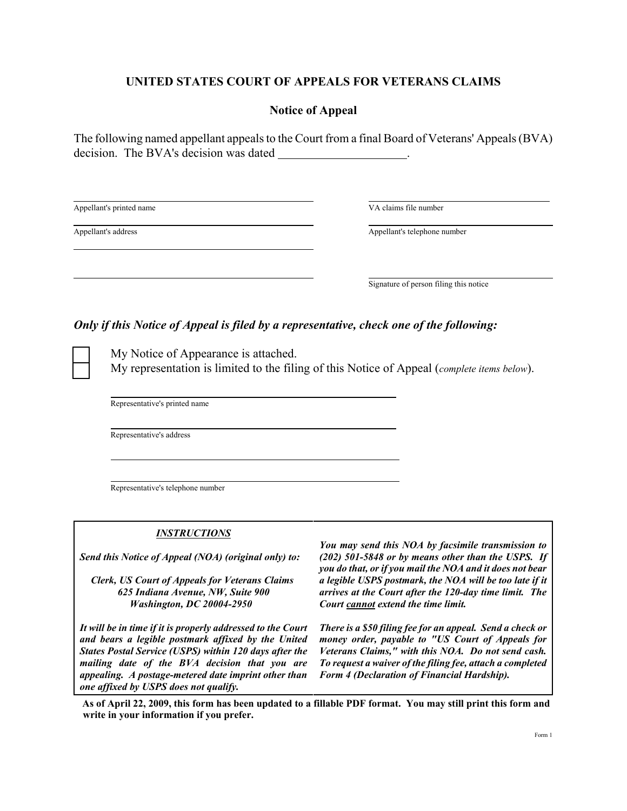## **UNITED STATES COURT OF APPEALS FOR VETERANS CLAIMS**

### **Notice of Appeal**

The following named appellant appeals to the Court from a final Board of Veterans' Appeals (BVA) decision. The BVA's decision was dated

Appellant's printed name VA claims file number

 $\overline{a}$ 

 $\overline{a}$ 

 $\overline{a}$ 

Appellant's address Appellant's address Appellant's telephone number

 $\overline{a}$ Signature of person filing this notice

## *Only if this Notice of Appeal is filed by a representative, check one of the following:*

My Notice of Appearance is attached. [ ] My representation is limited to the filing of this Notice of Appeal (*complete items below*).

Representative's printed name

Representative's address

Representative's telephone number

#### *INSTRUCTIONS*

*Send this Notice of Appeal (NOA) (original only) to:*

*Clerk, US Court of Appeals for Veterans Claims 625 Indiana Avenue, NW, Suite 900 Washington, DC 20004-2950* 

*It will be in time if it is properly addressed to the Court and bears a legible postmark affixed by the United States Postal Service (USPS) within 120 days after the mailing date of the BVA decision that you are appealing. A postage-metered date imprint other than one affixed by USPS does not qualify.*

*You may send this NOA by facsimile transmission to (202) 501-5848 or by means other than the USPS. If you do that, or if you mail the NOA and it does not bear a legible USPS postmark, the NOA will be too late if it arrives at the Court after the 120-day time limit. The Court cannot extend the time limit.*

*There is a \$50 filing fee for an appeal. Send a check or money order, payable to "US Court of Appeals for Veterans Claims," with this NOA. Do not send cash. To request a waiver of the filing fee, attach a completed Form 4 (Declaration of Financial Hardship).*

**As of April 22, 2009, this form has been updated to a fillable PDF format. You may still print this form and write in your information if you prefer.**